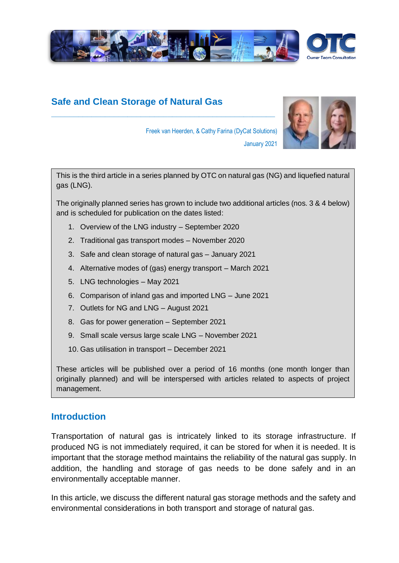

# **Safe and Clean Storage of Natural Gas**

**\_\_\_\_\_\_\_\_\_\_\_\_\_\_\_\_\_\_\_\_\_\_\_\_\_\_\_\_\_\_\_\_\_\_\_\_\_\_\_\_\_\_\_\_\_\_\_\_\_\_**



Freek van Heerden, & Cathy Farina (DyCat Solutions) January 2021

This is the third article in a series planned by OTC on natural gas (NG) and liquefied natural gas (LNG).

The originally planned series has grown to include two additional articles (nos. 3 & 4 below) and is scheduled for publication on the dates listed:

- 1. Overview of the LNG industry September 2020
- 2. Traditional gas transport modes November 2020
- 3. Safe and clean storage of natural gas January 2021
- 4. Alternative modes of (gas) energy transport March 2021
- 5. LNG technologies May 2021
- 6. Comparison of inland gas and imported LNG June 2021
- 7. Outlets for NG and LNG August 2021
- 8. Gas for power generation September 2021
- 9. Small scale versus large scale LNG November 2021
- 10. Gas utilisation in transport December 2021

These articles will be published over a period of 16 months (one month longer than originally planned) and will be interspersed with articles related to aspects of project management.

### **Introduction**

Transportation of natural gas is intricately linked to its storage infrastructure. If produced NG is not immediately required, it can be stored for when it is needed. It is important that the storage method maintains the reliability of the natural gas supply. In addition, the handling and storage of gas needs to be done safely and in an environmentally acceptable manner.

In this article, we discuss the different natural gas storage methods and the safety and environmental considerations in both transport and storage of natural gas.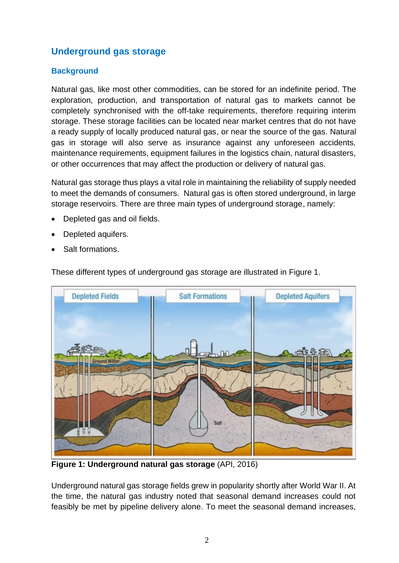# **Underground gas storage**

#### **Background**

Natural gas, like most other commodities, can be stored for an indefinite period. The exploration, production, and transportation of natural gas to markets cannot be completely synchronised with the off-take requirements, therefore requiring interim storage. These storage facilities can be located near market centres that do not have a ready supply of locally produced natural gas, or near the source of the gas. Natural gas in storage will also serve as insurance against any unforeseen accidents, maintenance requirements, equipment failures in the logistics chain, natural disasters, or other occurrences that may affect the production or delivery of natural gas.

Natural gas storage thus plays a vital role in maintaining the reliability of supply needed to meet the demands of consumers. Natural gas is often stored underground, in large storage reservoirs. There are three main types of underground storage, namely:

- Depleted gas and oil fields.
- Depleted aquifers.
- Salt formations.

These different types of underground gas storage are illustrated in Figure 1.



**Figure 1: Underground natural gas storage** (API, 2016)

Underground natural gas storage fields grew in popularity shortly after World War II. At the time, the natural gas industry noted that seasonal demand increases could not feasibly be met by pipeline delivery alone. To meet the seasonal demand increases,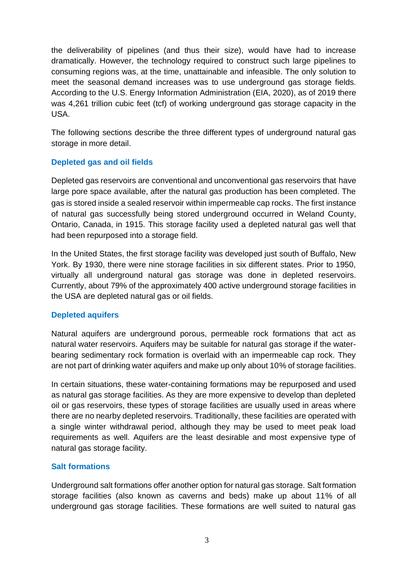the deliverability of pipelines (and thus their size), would have had to increase dramatically. However, the technology required to construct such large pipelines to consuming regions was, at the time, unattainable and infeasible. The only solution to meet the seasonal demand increases was to use underground gas storage fields. According to the U.S. Energy Information Administration (EIA, 2020), as of 2019 there was 4,261 trillion cubic feet (tcf) of working underground gas storage capacity in the USA.

The following sections describe the three different types of underground natural gas storage in more detail.

#### **Depleted gas and oil fields**

Depleted gas reservoirs are conventional and unconventional gas reservoirs that have large pore space available, after the natural gas production has been completed. The gas is stored inside a sealed reservoir within impermeable cap rocks. The first instance of natural gas successfully being stored underground occurred in Weland County, Ontario, Canada, in 1915. This storage facility used a depleted natural gas well that had been repurposed into a storage field.

In the United States, the first storage facility was developed just south of Buffalo, New York. By 1930, there were nine storage facilities in six different states. Prior to 1950, virtually all underground natural gas storage was done in depleted reservoirs. Currently, about 79% of the approximately 400 active underground storage facilities in the USA are depleted natural gas or oil fields.

#### **Depleted aquifers**

Natural aquifers are underground porous, permeable rock formations that act as natural water reservoirs. Aquifers may be suitable for natural gas storage if the waterbearing sedimentary rock formation is overlaid with an impermeable cap rock. They are not part of drinking water aquifers and make up only about 10% of storage facilities.

In certain situations, these water-containing formations may be repurposed and used as natural gas storage facilities. As they are more expensive to develop than depleted oil or gas reservoirs, these types of storage facilities are usually used in areas where there are no nearby depleted reservoirs. Traditionally, these facilities are operated with a single winter withdrawal period, although they may be used to meet peak load requirements as well. Aquifers are the least desirable and most expensive type of natural gas storage facility.

#### **Salt formations**

Underground salt formations offer another option for natural gas storage. Salt formation storage facilities (also known as caverns and beds) make up about 11% of all underground gas storage facilities. These formations are well suited to natural gas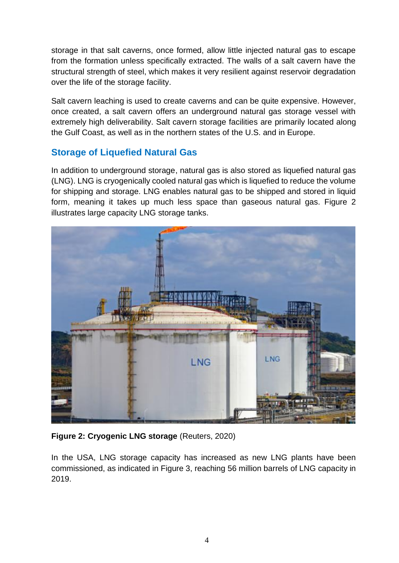storage in that salt caverns, once formed, allow little injected natural gas to escape from the formation unless specifically extracted. The walls of a salt cavern have the structural strength of steel, which makes it very resilient against reservoir degradation over the life of the storage facility.

Salt cavern leaching is used to create caverns and can be quite expensive. However, once created, a salt cavern offers an underground natural gas storage vessel with extremely high deliverability. Salt cavern storage facilities are primarily located along the Gulf Coast, as well as in the northern states of the U.S. and in Europe.

### **Storage of Liquefied Natural Gas**

In addition to underground storage, natural gas is also stored as liquefied natural gas (LNG). LNG is cryogenically cooled natural gas which is liquefied to reduce the volume for shipping and storage. LNG enables natural gas to be shipped and stored in liquid form, meaning it takes up much less space than gaseous natural gas. Figure 2 illustrates large capacity LNG storage tanks.



**Figure 2: Cryogenic LNG storage** (Reuters, 2020)

In the USA, LNG storage capacity has increased as new LNG plants have been commissioned, as indicated in Figure 3, reaching 56 million barrels of LNG capacity in 2019.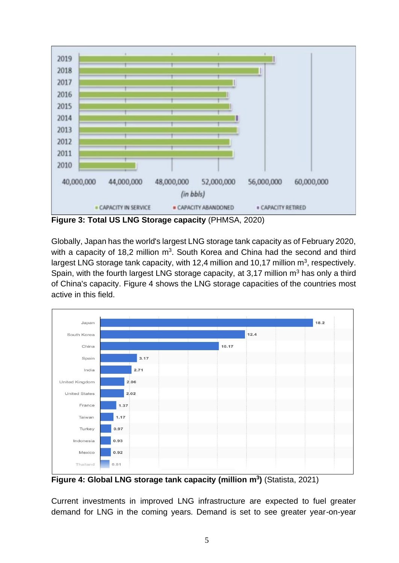

**Figure 3: Total US LNG Storage capacity** (PHMSA, 2020)

Globally, Japan has the world's largest LNG storage tank capacity as of February 2020, with a capacity of 18,2 million  $m^3$ . South Korea and China had the second and third largest LNG storage tank capacity, with 12,4 million and 10,17 million  $m^3$ , respectively. Spain, with the fourth largest LNG storage capacity, at 3,17 million  $m<sup>3</sup>$  has only a third of China's capacity. Figure 4 shows the LNG storage capacities of the countries most active in this field.



**Figure 4: Global LNG storage tank capacity (million m<sup>3</sup> )** (Statista, 2021)

Current investments in improved LNG infrastructure are expected to fuel greater demand for LNG in the coming years. Demand is set to see greater year-on-year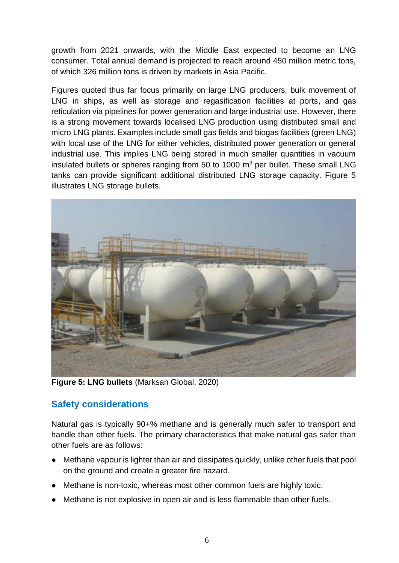growth from 2021 onwards, with the Middle East expected to become an LNG consumer. Total annual demand is projected to reach around 450 million metric tons, of which 326 million tons is driven by markets in Asia Pacific.

Figures quoted thus far focus primarily on large LNG producers, bulk movement of LNG in ships, as well as storage and regasification facilities at ports, and gas reticulation via pipelines for power generation and large industrial use. However, there is a strong movement towards localised LNG production using distributed small and micro LNG plants. Examples include small gas fields and biogas facilities (green LNG) with local use of the LNG for either vehicles, distributed power generation or general industrial use. This implies LNG being stored in much smaller quantities in vacuum insulated bullets or spheres ranging from 50 to 1000 m<sup>3</sup> per bullet. These small LNG tanks can provide significant additional distributed LNG storage capacity. Figure 5 illustrates LNG storage bullets.



**Figure 5: LNG bullets** (Marksan Global, 2020)

## **Safety considerations**

Natural gas is typically 90+% methane and is generally much safer to transport and handle than other fuels. The primary characteristics that make natural gas safer than other fuels are as follows:

- Methane vapour is lighter than air and dissipates quickly, unlike other fuels that pool on the ground and create a greater fire hazard.
- Methane is non-toxic, whereas most other common fuels are highly toxic.
- Methane is not explosive in open air and is less flammable than other fuels.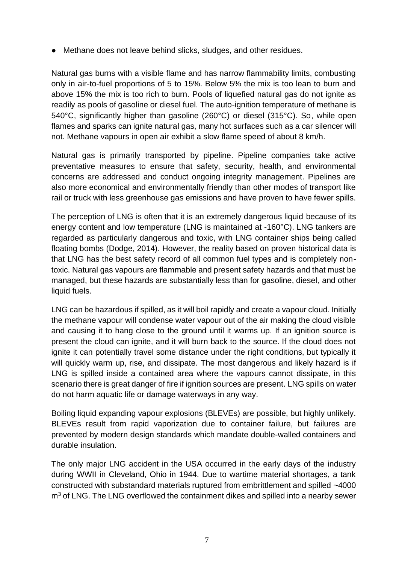● Methane does not leave behind slicks, sludges, and other residues.

Natural gas burns with a visible flame and has narrow flammability limits, combusting only in air-to-fuel proportions of 5 to 15%. Below 5% the mix is too lean to burn and above 15% the mix is too rich to burn. Pools of liquefied natural gas do not ignite as readily as pools of gasoline or diesel fuel. The auto-ignition temperature of methane is 540°C, significantly higher than gasoline (260°C) or diesel (315°C). So, while open flames and sparks can ignite natural gas, many hot surfaces such as a car silencer will not. Methane vapours in open air exhibit a slow flame speed of about 8 km/h.

Natural gas is primarily transported by pipeline. Pipeline companies take active preventative measures to ensure that safety, security, health, and environmental concerns are addressed and conduct ongoing integrity management. Pipelines are also more economical and environmentally friendly than other modes of transport like rail or truck with less greenhouse gas emissions and have proven to have fewer spills.

The perception of LNG is often that it is an extremely dangerous liquid because of its energy content and low temperature (LNG is maintained at -160°C). LNG tankers are regarded as particularly dangerous and toxic, with LNG container ships being called floating bombs (Dodge, 2014). However, the reality based on proven historical data is that LNG has the best safety record of all common fuel types and is completely nontoxic. Natural gas vapours are flammable and present safety hazards and that must be managed, but these hazards are substantially less than for gasoline, diesel, and other liquid fuels.

LNG can be hazardous if spilled, as it will boil rapidly and create a vapour cloud. Initially the methane vapour will condense water vapour out of the air making the cloud visible and causing it to hang close to the ground until it warms up. If an ignition source is present the cloud can ignite, and it will burn back to the source. If the cloud does not ignite it can potentially travel some distance under the right conditions, but typically it will quickly warm up, rise, and dissipate. The most dangerous and likely hazard is if LNG is spilled inside a contained area where the vapours cannot dissipate, in this scenario there is great danger of fire if ignition sources are present. LNG spills on water do not harm aquatic life or damage waterways in any way.

Boiling liquid expanding vapour explosions (BLEVEs) are possible, but highly unlikely. BLEVEs result from rapid vaporization due to container failure, but failures are prevented by modern design standards which mandate double-walled containers and durable insulation.

The only major LNG accident in the USA occurred in the early days of the industry during WWII in Cleveland, Ohio in 1944. Due to wartime material shortages, a tank constructed with substandard materials ruptured from embrittlement and spilled ~4000  $m<sup>3</sup>$  of LNG. The LNG overflowed the containment dikes and spilled into a nearby sewer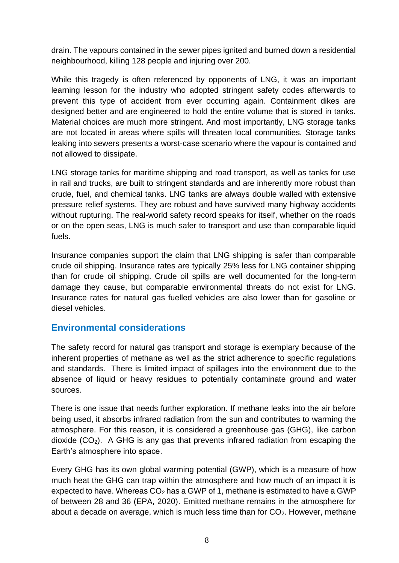drain. The vapours contained in the sewer pipes ignited and burned down a residential neighbourhood, killing 128 people and injuring over 200.

While this tragedy is often referenced by opponents of LNG, it was an important learning lesson for the industry who adopted stringent safety codes afterwards to prevent this type of accident from ever occurring again. Containment dikes are designed better and are engineered to hold the entire volume that is stored in tanks. Material choices are much more stringent. And most importantly, LNG storage tanks are not located in areas where spills will threaten local communities. Storage tanks leaking into sewers presents a worst-case scenario where the vapour is contained and not allowed to dissipate.

LNG storage tanks for maritime shipping and road transport, as well as tanks for use in rail and trucks, are built to stringent standards and are inherently more robust than crude, fuel, and chemical tanks. LNG tanks are always double walled with extensive pressure relief systems. They are robust and have survived many highway accidents without rupturing. The real-world safety record speaks for itself, whether on the roads or on the open seas, LNG is much safer to transport and use than comparable liquid fuels.

Insurance companies support the claim that LNG shipping is safer than comparable crude oil shipping. Insurance rates are typically 25% less for LNG container shipping than for crude oil shipping. Crude oil spills are well documented for the long-term damage they cause, but comparable environmental threats do not exist for LNG. Insurance rates for natural gas fuelled vehicles are also lower than for gasoline or diesel vehicles.

### **Environmental considerations**

The safety record for natural gas transport and storage is exemplary because of the inherent properties of methane as well as the strict adherence to specific regulations and standards. There is limited impact of spillages into the environment due to the absence of liquid or heavy residues to potentially contaminate ground and water sources.

There is one issue that needs further exploration. If methane leaks into the air before being used, it absorbs infrared radiation from the sun and contributes to warming the atmosphere. For this reason, it is considered a greenhouse gas (GHG), like carbon dioxide  $(CO<sub>2</sub>)$ . A GHG is any gas that prevents infrared radiation from escaping the Earth's atmosphere into space.

Every GHG has its own global warming potential (GWP), which is a measure of how much heat the GHG can trap within the atmosphere and how much of an impact it is expected to have. Whereas  $CO<sub>2</sub>$  has a GWP of 1, methane is estimated to have a GWP of between 28 and 36 (EPA, 2020). Emitted methane remains in the atmosphere for about a decade on average, which is much less time than for  $CO<sub>2</sub>$ . However, methane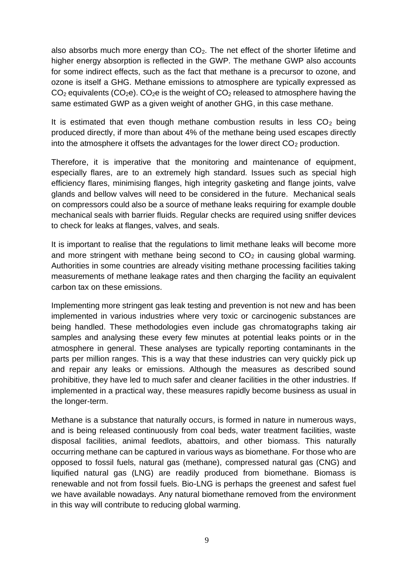also absorbs much more energy than  $CO<sub>2</sub>$ . The net effect of the shorter lifetime and higher energy absorption is reflected in the GWP. The methane GWP also accounts for some indirect effects, such as the fact that methane is a precursor to ozone, and ozone is itself a GHG. Methane emissions to atmosphere are typically expressed as  $CO<sub>2</sub>$  equivalents ( $CO<sub>2</sub>e$ ).  $CO<sub>2</sub>e$  is the weight of  $CO<sub>2</sub>$  released to atmosphere having the same estimated GWP as a given weight of another GHG, in this case methane.

It is estimated that even though methane combustion results in less  $CO<sub>2</sub>$  being produced directly, if more than about 4% of the methane being used escapes directly into the atmosphere it offsets the advantages for the lower direct  $CO<sub>2</sub>$  production.

Therefore, it is imperative that the monitoring and maintenance of equipment, especially flares, are to an extremely high standard. Issues such as special high efficiency flares, minimising flanges, high integrity gasketing and flange joints, valve glands and bellow valves will need to be considered in the future. Mechanical seals on compressors could also be a source of methane leaks requiring for example double mechanical seals with barrier fluids. Regular checks are required using sniffer devices to check for leaks at flanges, valves, and seals.

It is important to realise that the regulations to limit methane leaks will become more and more stringent with methane being second to  $CO<sub>2</sub>$  in causing global warming. Authorities in some countries are already visiting methane processing facilities taking measurements of methane leakage rates and then charging the facility an equivalent carbon tax on these emissions.

Implementing more stringent gas leak testing and prevention is not new and has been implemented in various industries where very toxic or carcinogenic substances are being handled. These methodologies even include gas chromatographs taking air samples and analysing these every few minutes at potential leaks points or in the atmosphere in general. These analyses are typically reporting contaminants in the parts per million ranges. This is a way that these industries can very quickly pick up and repair any leaks or emissions. Although the measures as described sound prohibitive, they have led to much safer and cleaner facilities in the other industries. If implemented in a practical way, these measures rapidly become business as usual in the longer-term.

Methane is a substance that naturally occurs, is formed in nature in numerous ways, and is being released continuously from coal beds, water treatment facilities, waste disposal facilities, animal feedlots, abattoirs, and other biomass. This naturally occurring methane can be captured in various ways as biomethane. For those who are opposed to fossil fuels, natural gas (methane), compressed natural gas (CNG) and liquified natural gas (LNG) are readily produced from biomethane. Biomass is renewable and not from fossil fuels. Bio-LNG is perhaps the greenest and safest fuel we have available nowadays. Any natural biomethane removed from the environment in this way will contribute to reducing global warming.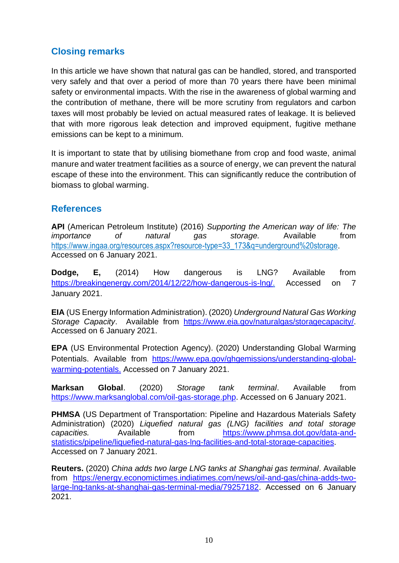# **Closing remarks**

In this article we have shown that natural gas can be handled, stored, and transported very safely and that over a period of more than 70 years there have been minimal safety or environmental impacts. With the rise in the awareness of global warming and the contribution of methane, there will be more scrutiny from regulators and carbon taxes will most probably be levied on actual measured rates of leakage. It is believed that with more rigorous leak detection and improved equipment, fugitive methane emissions can be kept to a minimum.

It is important to state that by utilising biomethane from crop and food waste, animal manure and water treatment facilities as a source of energy, we can prevent the natural escape of these into the environment. This can significantly reduce the contribution of biomass to global warming.

## **References**

**API** (American Petroleum Institute) (2016) *Supporting the American way of life: The importance of natural gas storage.* Available from [https://www.ingaa.org/resources.aspx?resource-type=33\\_173&q=underground%20storage.](https://www.ingaa.org/resources.aspx?resource-type=33_173&q=underground%20storage) Accessed on 6 January 2021.

**Dodge, E,** (2014) How dangerous is LNG? Available from [https://breakingenergy.com/2014/12/22/how-dangerous-is-lng/.](https://breakingenergy.com/2014/12/22/how-dangerous-is-lng/) Accessed on 7 January 2021.

**EIA** (US Energy Information Administration). (2020) *Underground Natural Gas Working Storage Capacity*. Available from [https://www.eia.gov/naturalgas/storagecapacity/.](https://www.eia.gov/naturalgas/storagecapacity/) Accessed on 6 January 2021.

**EPA** (US Environmental Protection Agency). (2020) Understanding Global Warming Potentials. Available from [https://www.epa.gov/ghgemissions/understanding-global](https://www.epa.gov/ghgemissions/understanding-global-warming-potentials.)[warming-potentials.](https://www.epa.gov/ghgemissions/understanding-global-warming-potentials.) Accessed on 7 January 2021.

**Marksan Global**. (2020) *Storage tank terminal*. Available from [https://www.marksanglobal.com/oil-gas-storage.php.](https://www.marksanglobal.com/oil-gas-storage.php) Accessed on 6 January 2021.

**PHMSA** (US Department of Transportation: Pipeline and Hazardous Materials Safety Administration) (2020) *Liquefied natural gas (LNG) facilities and total storage capacities.* Available from [https://www.phmsa.dot.gov/data-and](https://www.phmsa.dot.gov/data-and-statistics/pipeline/liquefied-natural-gas-lng-facilities-and-total-storage-capacities)[statistics/pipeline/liquefied-natural-gas-lng-facilities-and-total-storage-capacities.](https://www.phmsa.dot.gov/data-and-statistics/pipeline/liquefied-natural-gas-lng-facilities-and-total-storage-capacities) Accessed on 7 January 2021.

**Reuters.** (2020) *China adds two large LNG tanks at Shanghai gas terminal*. Available from [https://energy.economictimes.indiatimes.com/news/oil-and-gas/china-adds-two](https://energy.economictimes.indiatimes.com/news/oil-and-gas/china-adds-two-large-lng-tanks-at-shanghai-gas-terminal-media/79257182)[large-lng-tanks-at-shanghai-gas-terminal-media/79257182.](https://energy.economictimes.indiatimes.com/news/oil-and-gas/china-adds-two-large-lng-tanks-at-shanghai-gas-terminal-media/79257182) Accessed on 6 January 2021.